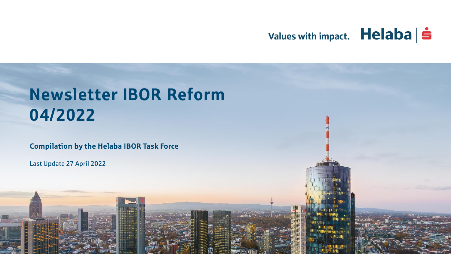## Values with impact. Helaba | s

# Newsletter IBOR Reform 04/2022

**Compilation by the Helaba IBOR Task Force**

Last Update 27 April 2022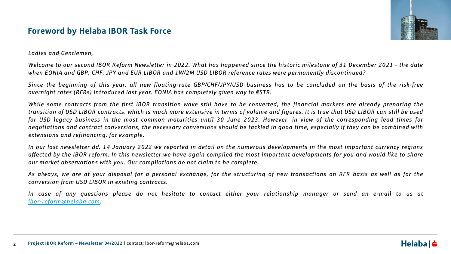

*Ladies and Gentlemen,*

Welcome to our second IBOR Reform Newsletter in 2022. What has happened since the historic milestone of 31 December 2021 - the date when EONIA and GBP, CHF, JPY and EUR LIBOR and 1W/2M USD LIBOR reference rates were permanently discontinued?

Since the beginning of this year, all new floating-rate GBP/CHF/JPY/USD business has to be concluded on the basis of the risk-free *overnight rates (RFRs) introduced last year. EONIA has completely given way to €STR.*

While some contracts from the first IBOR transition wave still have to be converted, the financial markets are already preparing the transition of USD LIBOR contracts, which is much more extensive in terms of volume and figures. It is true that USD LIBOR can still be used for USD legacy business in the most common maturities until 30 June 2023. However, in view of the corresponding lead times for negotiations and contract conversions, the necessary conversions should be tackled in good time, especially if they can be combined with *extensions and refinancing, for example.*

In our last newsletter dd. 14 January 2022 we reported in detail on the numerous developments in the most important currency regions affected by the IBOR reform. In this newsletter we have again compiled the most important developments for you and would like to share *our market observations with you. Our compilations do not claim to be complete.*

As always, we are at your disposal for a personal exchange, for the structuring of new transactions on RFR basis as well as for the *conversion from USD LIBOR in existing contracts.*

In case of any questions please do not hesitate to contact either your relationship manager or send an e-mail to us at *[ibor-reform@helaba.com](mailto:ibor-reform@helaba.com).*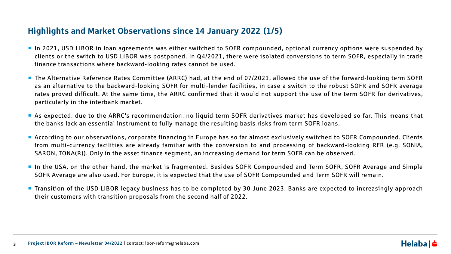## Highlights and Market Observations since 14 January 2022 (1/5)

- **If an 2021, USD LIBOR in loan agreements was either switched to SOFR compounded, optional currency options were suspended by** clients or the switch to USD LIBOR was postponed. In Q4/2021, there were isolated conversions to term SOFR, especially in trade finance transactions where backward-looking rates cannot be used.
- The Alternative Reference Rates Committee (ARRC) had, at the end of 07/2021, allowed the use of the forward-looking term SOFR as an alternative to the backward-looking SOFR for multi-lender facilities, in case a switch to the robust SOFR and SOFR average rates proved difficult. At the same time, the ARRC confirmed that it would not support the use of the term SOFR for derivatives, particularly in the interbank market.
- As expected, due to the ARRC's recommendation, no liquid term SOFR derivatives market has developed so far. This means that the banks lack an essential instrument to fully manage the resulting basis risks from term SOFR loans.
- According to our observations, corporate financing in Europe has so far almost exclusively switched to SOFR Compounded. Clients from multi-currency facilities are already familiar with the conversion to and processing of backward-looking RFR (e.g. SONIA, SARON, TONA(R)). Only in the asset finance segment, an increasing demand for term SOFR can be observed.
- In the USA, on the other hand, the market is fragmented. Besides SOFR Compounded and Term SOFR, SOFR Average and Simple SOFR Average are also used. For Europe, it is expected that the use of SOFR Compounded and Term SOFR will remain.
- Transition of the USD LIBOR legacy business has to be completed by 30 June 2023. Banks are expected to increasingly approach their customers with transition proposals from the second half of 2022.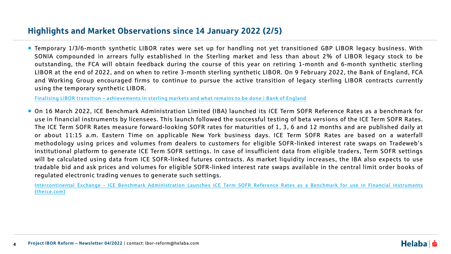## Highlights and Market Observations since 14 January 2022 (2/5)

■ Temporary 1/3/6-month synthetic LIBOR rates were set up for handling not yet transitioned GBP LIBOR legacy business. With SONIA compounded in arrears fully established in the Sterling market and less than about 2% of LIBOR legacy stock to be outstanding, the FCA will obtain feedback during the course of this year on retiring 1-month and 6-month synthetic sterling LIBOR at the end of 2022, and on when to retire 3-month sterling synthetic LIBOR. On 9 February 2022, the Bank of England, FCA and Working Group encouraged firms to continue to pursue the active transition of legacy sterling LIBOR contracts currently using the temporary synthetic LIBOR.

Finalising LIBOR transition – [achievements](https://www.bankofengland.co.uk/news/2022/february/sterling-risk-free-reference-rates-finalising-libor-transition) in sterling markets and what remains to be done | Bank of England

■ On 16 March 2022, ICE Benchmark Administration Limited (IBA) launched its ICE Term SOFR Reference Rates as a benchmark for use in financial instruments by licensees. This launch followed the successful testing of beta versions of the ICE Term SOFR Rates. The ICE Term SOFR Rates measure forward-looking SOFR rates for maturities of 1, 3, 6 and 12 months and are published daily at or about 11:15 a.m. Eastern Time on applicable New York business days. ICE Term SOFR Rates are based on a waterfall methodology using prices and volumes from dealers to customers for eligible SOFR-linked interest rate swaps on Tradeweb's institutional platform to generate ICE Term SOFR settings. In case of insufficient data from eligible traders, Term SOFR settings will be calculated using data from ICE SOFR-linked futures contracts. As market liquidity increases, the IBA also expects to use tradable bid and ask prices and volumes for eligible SOFR-linked interest rate swaps available in the central limit order books of regulated electronic trading venues to generate such settings.

[Intercontinental](https://ir.theice.com/press/news-details/2022/ICE-Benchmark-Administration-Launches-ICE-Term-SOFR-Reference-Rates-as-a-Benchmark-for-use-in-Financial-Instruments/default.aspx) Exchange - ICE Benchmark Administration Launches ICE Term SOFR Reference Rates as a Benchmark for use in Financial Instruments (theice.com)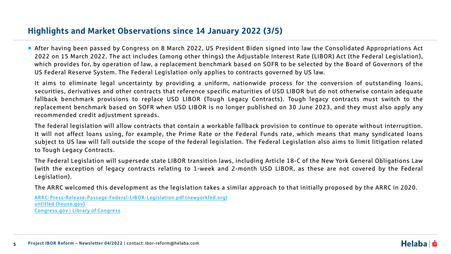## Highlights and Market Observations since 14 January 2022 (3/5)

 After having been passed by Congress on 8 March 2022, US President Biden signed into law the Consolidated Appropriations Act 2022 on 15 March 2022. The act includes (among other things) the Adjustable Interest Rate (LIBOR) Act (the Federal Legislation), which provides for, by operation of law, a replacement benchmark based on SOFR to be selected by the Board of Governors of the US Federal Reserve System. The Federal Legislation only applies to contracts governed by US law.

It aims to eliminate legal uncertainty by providing a uniform, nationwide process for the conversion of outstanding loans, securities, derivatives and other contracts that reference specific maturities of USD LIBOR but do not otherwise contain adequate fallback benchmark provisions to replace USD LIBOR (Tough Legacy Contracts). Tough legacy contracts must switch to the replacement benchmark based on SOFR when USD LIBOR is no longer published on 30 June 2023, and they must also apply any recommended credit adjustment spreads.

The federal legislation will allow contracts that contain a workable fallback provision to continue to operate without interruption. It will not affect loans using, for example, the Prime Rate or the Federal Funds rate, which means that many syndicated loans subject to US law will fall outside the scope of the federal legislation. The Federal Legislation also aims to limit litigation related to Tough Legacy Contracts.

The Federal Legislation will supersede state LIBOR transition laws, including Article 18-C of the New York General Obligations Law (with the exception of legacy contracts relating to 1-week and 2-month USD LIBOR, as these are not covered by the Federal Legislation).

The ARRC welcomed this development as the legislation takes a similar approach to that initially proposed by the ARRC in 2020.

[ARRC-Press-Release-Passage-Federal-LIBOR-Legislation.pdf](https://www.newyorkfed.org/medialibrary/Microsites/arrc/files/2022/ARRC-Press-Release-Passage-Federal-LIBOR-Legislation.pdf) (newyorkfed.org) untitled [\(house.gov\)](https://rules.house.gov/sites/democrats.rules.house.gov/files/BILLS-117HR2471SA-RCP-117-35.pdf) [Congress.gov](https://www.congress.gov/) | Library of Congress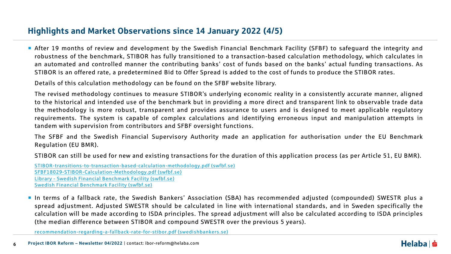## Highlights and Market Observations since 14 January 2022 (4/5)

 After 19 months of review and development by the Swedish Financial Benchmark Facility (SFBF) to safeguard the integrity and robustness of the benchmark, STIBOR has fully transitioned to a transaction-based calculation methodology, which calculates in an automated and controlled manner the contributing banks' cost of funds based on the banks' actual funding transactions. As STIBOR is an offered rate, a predetermined Bid to Offer Spread is added to the cost of funds to produce the STIBOR rates.

Details of this calculation methodology can be found on the SFBF website library.

The revised methodology continues to measure STIBOR's underlying economic reality in a consistently accurate manner, aligned to the historical and intended use of the benchmark but in providing a more direct and transparent link to observable trade data the methodology is more robust, transparent and provides assurance to users and is designed to meet applicable regulatory requirements. The system is capable of complex calculations and identifying erroneous input and manipulation attempts in tandem with supervision from contributors and SFBF oversight functions.

The SFBF and the Swedish Financial Supervisory Authority made an application for authorisation under the EU Benchmark Regulation (EU BMR).

STIBOR can still be used for new and existing transactions for the duration of this application process (as per Article 51, EU BMR).

[STIBOR-transitions-to-transaction-based-calculation-methodology.pdf](https://swfbf.se/wp-content/uploads/2022/02/STIBOR-transitions-to-transaction-based-calculation-methodology.pdf) (swfbf.se) [SFBF18029-STIBOR-Calculation-Methodology.pdf](https://swfbf.se/wp-content/uploads/2021/11/SFBF18029-STIBOR-Calculation-Methodology.pdf) (swfbf.se) Library - Swedish Financial [Benchmark](https://swfbf.se/sfbf-benchmarks/stibor/) Facility (swfbf.se) Swedish Financial [Benchmark](https://swfbf.se/wp-content/uploads/2022/02/Evolution-of-STIBOR-Presentation-till-Svenska-Bankforeningens-medlemmar-17-Februari-2022.pdf) Facility (swfbf.se)

 In terms of a fallback rate, the Swedish Bankers' Association (SBA) has recommended adjusted (compounded) SWESTR plus a spread adjustment. Adjusted SWESTR should be calculated in line with international standards, and in Sweden specifically the calculation will be made according to ISDA principles. The spread adjustment will also be calculated according to ISDA principles (the median difference between STIBOR and compound SWESTR over the previous 5 years).

[recommendation-regarding-a-fallback-rate-for-stibor.pdf](https://www.swedishbankers.se/media/5133/recommendation-regarding-a-fallback-rate-for-stibor.pdf) (swedishbankers.se)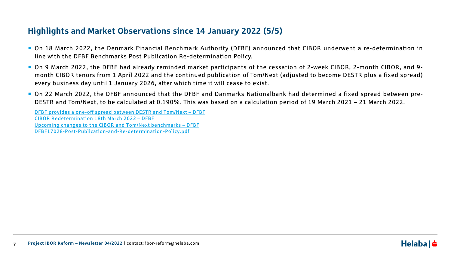## Highlights and Market Observations since 14 January 2022 (5/5)

- On 18 March 2022, the Denmark Financial Benchmark Authority (DFBF) announced that CIBOR underwent a re-determination in line with the DFBF Benchmarks Post Publication Re-determination Policy.
- On 9 March 2022, the DFBF had already reminded market participants of the cessation of 2-week CIBOR, 2-month CIBOR, and 9month CIBOR tenors from 1 April 2022 and the continued publication of Tom/Next (adjusted to become DESTR plus a fixed spread) every business day until 1 January 2026, after which time it will cease to exist.
- On 22 March 2022, the DFBF announced that the DFBF and Danmarks Nationalbank had determined a fixed spread between pre-DESTR and Tom/Next, to be calculated at 0.190%. This was based on a calculation period of 19 March 2021 – 21 March 2022.

DFBF provides a one-off spread between DESTR and [Tom/Next](https://dfbf.dk/dfbf-provides-a-one-off-spread-between-destr-and-tom-next/) – DFBF CIBOR [Redetermination](https://dfbf.dk/cibor-redetermination-18th-march-2022/) 18th March 2022 – DFBF Upcoming changes to the CIBOR and Tom/Next [benchmarks](https://dfbf.dk/upcoming-changes-to-the-cibor-and-tom-next-benchmarks/) [–](https://dfbf.dk/wp-content/uploads/2020/09/DFBF17028-Post-Publication-and-Re-determination-Policy.pdf) [DFBF](https://dfbf.dk/upcoming-changes-to-the-cibor-and-tom-next-benchmarks/) [DFBF17028-Post-Publication-and-Re-determination-Policy.pdf](https://dfbf.dk/wp-content/uploads/2020/09/DFBF17028-Post-Publication-and-Re-determination-Policy.pdf)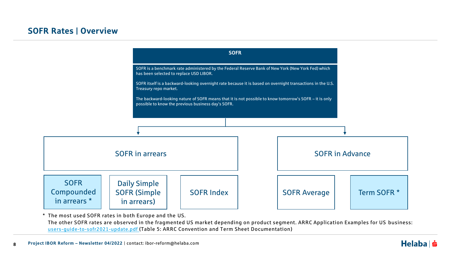

\* The most used SOFR rates in both Europe and the US.

The other SOFR rates are observed in the fragmented US market depending on product segment. ARRC Application Examples for US business: [users-guide-to-sofr2021-update.pdf](https://www.newyorkfed.org/medialibrary/Microsites/arrc/files/2021/users-guide-to-sofr2021-update.pdf) (Table 5: ARRC Convention and Term Sheet Documentation)

#### $Helaba$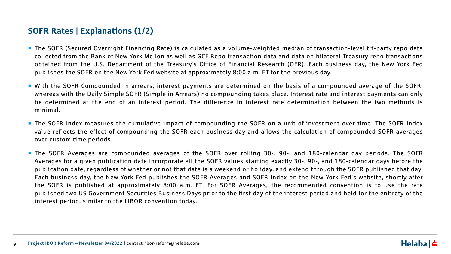## SOFR Rates | Explanations (1/2)

- The SOFR (Secured Overnight Financing Rate) is calculated as a volume-weighted median of transaction-level tri-party repo data collected from the Bank of New York Mellon as well as GCF Repo transaction data and data on bilateral Treasury repo transactions obtained from the U.S. Department of the Treasury's Office of Financial Research (OFR). Each business day, the New York Fed publishes the SOFR on the New York Fed website at approximately 8:00 a.m. ET for the previous day.
- With the SOFR Compounded in arrears, interest payments are determined on the basis of a compounded average of the SOFR, whereas with the Daily Simple SOFR (Simple in Arrears) no compounding takes place. Interest rate and interest payments can only be determined at the end of an interest period. The difference in interest rate determination between the two methods is minimal.
- **The SOFR Index measures the cumulative impact of compounding the SOFR on a unit of investment over time. The SOFR Index** value reflects the effect of compounding the SOFR each business day and allows the calculation of compounded SOFR averages over custom time periods.
- The SOFR Averages are compounded averages of the SOFR over rolling 30-, 90-, and 180-calendar day periods. The SOFR Averages for a given publication date incorporate all the SOFR values starting exactly 30-, 90-, and 180-calendar days before the publication date, regardless of whether or not that date is a weekend or holiday, and extend through the SOFR published that day. Each business day, the New York Fed publishes the SOFR Averages and SOFR Index on the New York Fed's website, shortly after the SOFR is published at approximately 8:00 a.m. ET. For SOFR Averages, the recommended convention is to use the rate published two US Government Securities Business Days prior to the first day of the interest period and held for the entirety of the interest period, similar to the LIBOR convention today.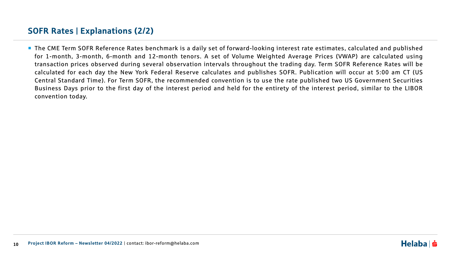## SOFR Rates | Explanations (2/2)

■ The CME Term SOFR Reference Rates benchmark is a daily set of forward-looking interest rate estimates, calculated and published for 1-month, 3-month, 6-month and 12-month tenors. A set of Volume Weighted Average Prices (VWAP) are calculated using transaction prices observed during several observation intervals throughout the trading day. Term SOFR Reference Rates will be calculated for each day the New York Federal Reserve calculates and publishes SOFR. Publication will occur at 5:00 am CT (US Central Standard Time). For Term SOFR, the recommended convention is to use the rate published two US Government Securities Business Days prior to the first day of the interest period and held for the entirety of the interest period, similar to the LIBOR convention today.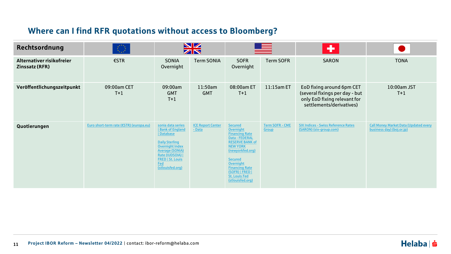## Where can I find RFR quotations without access to Bloomberg?

| Rechtsordnung                                      | $\mathcal{L}(\mathcal{I})$              | <b>NZ</b><br>ZN                                                                                                                                                                                                  |                                    |                                                                                                                                                                                                                                                                       |                                        | ٠                                                                                                                       |                                                                           |
|----------------------------------------------------|-----------------------------------------|------------------------------------------------------------------------------------------------------------------------------------------------------------------------------------------------------------------|------------------------------------|-----------------------------------------------------------------------------------------------------------------------------------------------------------------------------------------------------------------------------------------------------------------------|----------------------------------------|-------------------------------------------------------------------------------------------------------------------------|---------------------------------------------------------------------------|
| Alternativer risikofreier<br><b>Zinssatz (RFR)</b> | €STR                                    | <b>SONIA</b><br>Overnight                                                                                                                                                                                        | <b>Term SONIA</b>                  | <b>SOFR</b><br>Overnight                                                                                                                                                                                                                                              | <b>Term SOFR</b>                       | <b>SARON</b>                                                                                                            | <b>TONA</b>                                                               |
| Veröffentlichungszeitpunkt                         | 09:00am CET<br>$T+1$                    | 09:00am<br><b>GMT</b><br>$T+1$                                                                                                                                                                                   | 11:50am<br><b>GMT</b>              | 08:00am ET<br>$T+1$                                                                                                                                                                                                                                                   | 11:15am ET                             | EoD fixing around 6pm CET<br>(several fixings per day - but<br>only EoD fixing relevant for<br>settlements/derivatives) | 10:00am JST<br>$T+1$                                                      |
| Quotierungen                                       | Euro short-term rate (€STR) (europa.eu) | sonia data series<br><b>Bank of England</b><br>  Database<br><b>Daily Sterling</b><br><b>Overnight Index</b><br><b>Average (SONIA)</b><br>Rate (IUDSOIA)  <br><b>FRED   St. Louis</b><br>Fed<br>(stlouisfed.org) | <b>ICE Report Center</b><br>- Data | <b>Secured</b><br>Overnight<br><b>Financing Rate</b><br>Data - FEDERAL<br><b>RESERVE BANK of</b><br><b>NEW YORK</b><br>(newyorkfed.org)<br><b>Secured</b><br><b>Overnight</b><br><b>Financing Rate</b><br>(SOFR)   FRED  <br><b>St. Louis Fed</b><br>(stlouisfed.org) | <b>Term SOFR - CME</b><br><b>Group</b> | <b>SIX Indices - Swiss Reference Rates</b><br>(SARON) (six-group.com)                                                   | <b>Call Money Market Data (Updated every</b><br>business day) (boj.or.jp) |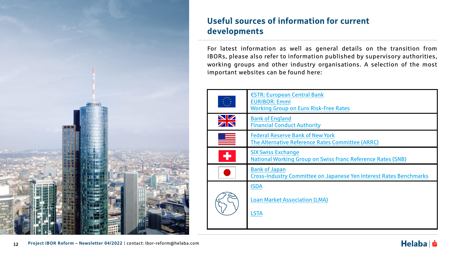

## Useful sources of information for current developments

For latest information as well as general details on the transition from IBORs, please also refer to information published by supervisory authorities, working groups and other industry organisations. A selection of the most important websites can be found here:

|                 | €STR: European Central Bank<br><b>EURIBOR: Emmi</b><br><b>Working Group on Euro Risk-Free Rates</b> |
|-----------------|-----------------------------------------------------------------------------------------------------|
| <b>NZ</b><br>ZN | <b>Bank of England</b><br><b>Financial Conduct Authority</b>                                        |
|                 | <b>Federal Reserve Bank of New York</b><br>The Alternative Reference Rates Committee (ARRC)         |
| ÷               | <b>SIX Swiss Exchange</b><br><b>National Working Group on Swiss Franc Reference Rates (SNB)</b>     |
|                 | <b>Bank of Japan</b><br><b>Cross-Industry Committee on Japanese Yen Interest Rates Benchmarks</b>   |
|                 | <b>ISDA</b><br><b>Loan Market Association (LMA)</b><br><b>LSTA</b>                                  |

## $Helaba$  =